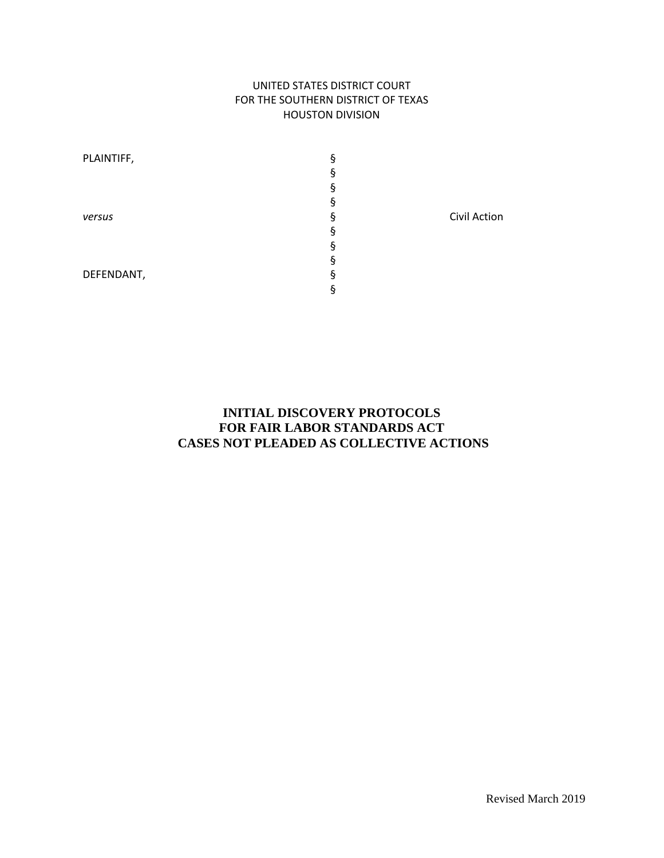#### UNITED STATES DISTRICT COURT FOR THE SOUTHERN DISTRICT OF TEXAS HOUSTON DIVISION

| PLAINTIFF, | ş |              |
|------------|---|--------------|
|            | 9 |              |
|            | 9 |              |
|            | ş |              |
| versus     | g | Civil Action |
|            | Ś |              |
|            | 9 |              |
|            | 9 |              |
| DEFENDANT, | Ś |              |
|            | 9 |              |

## **INITIAL DISCOVERY PROTOCOLS FOR FAIR LABOR STANDARDS ACT CASES NOT PLEADED AS COLLECTIVE ACTIONS**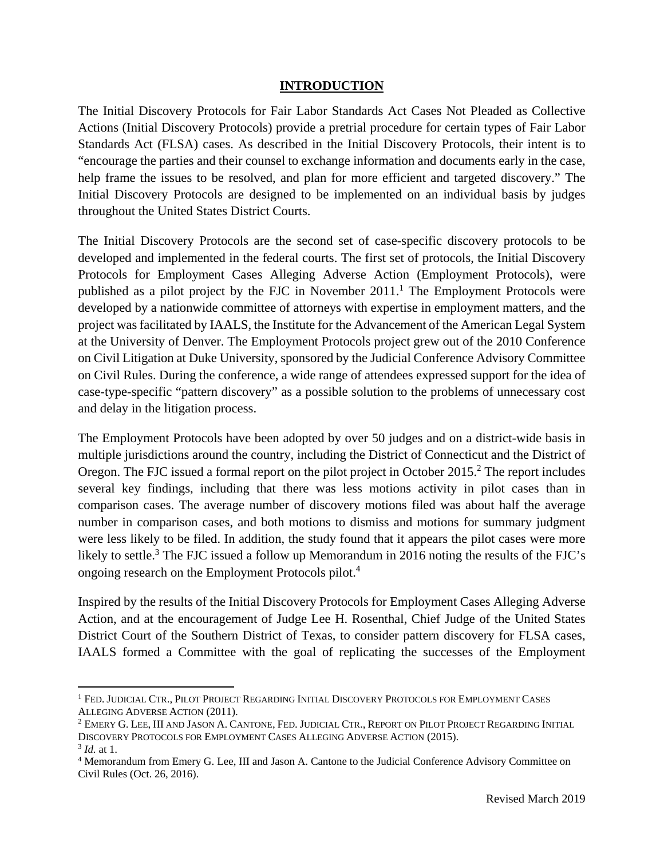#### **INTRODUCTION**

The Initial Discovery Protocols for Fair Labor Standards Act Cases Not Pleaded as Collective Actions (Initial Discovery Protocols) provide a pretrial procedure for certain types of Fair Labor Standards Act (FLSA) cases. As described in the Initial Discovery Protocols, their intent is to "encourage the parties and their counsel to exchange information and documents early in the case, help frame the issues to be resolved, and plan for more efficient and targeted discovery." The Initial Discovery Protocols are designed to be implemented on an individual basis by judges throughout the United States District Courts.

The Initial Discovery Protocols are the second set of case-specific discovery protocols to be developed and implemented in the federal courts. The first set of protocols, the Initial Discovery Protocols for Employment Cases Alleging Adverse Action (Employment Protocols), were published as a pilot project by the FJC in November  $2011$ .<sup>1</sup> The Employment Protocols were developed by a nationwide committee of attorneys with expertise in employment matters, and the project was facilitated by IAALS, the Institute for the Advancement of the American Legal System at the University of Denver. The Employment Protocols project grew out of the 2010 Conference on Civil Litigation at Duke University, sponsored by the Judicial Conference Advisory Committee on Civil Rules. During the conference, a wide range of attendees expressed support for the idea of case-type-specific "pattern discovery" as a possible solution to the problems of unnecessary cost and delay in the litigation process.

The Employment Protocols have been adopted by over 50 judges and on a district-wide basis in multiple jurisdictions around the country, including the District of Connecticut and the District of Oregon. The FJC issued a formal report on the pilot project in October 2015.<sup>2</sup> The report includes several key findings, including that there was less motions activity in pilot cases than in comparison cases. The average number of discovery motions filed was about half the average number in comparison cases, and both motions to dismiss and motions for summary judgment were less likely to be filed. In addition, the study found that it appears the pilot cases were more likely to settle.<sup>3</sup> The FJC issued a follow up Memorandum in 2016 noting the results of the FJC's ongoing research on the Employment Protocols pilot.4

Inspired by the results of the Initial Discovery Protocols for Employment Cases Alleging Adverse Action, and at the encouragement of Judge Lee H. Rosenthal, Chief Judge of the United States District Court of the Southern District of Texas, to consider pattern discovery for FLSA cases, IAALS formed a Committee with the goal of replicating the successes of the Employment

<sup>1</sup> FED. JUDICIAL CTR., PILOT PROJECT REGARDING INITIAL DISCOVERY PROTOCOLS FOR EMPLOYMENT CASES ALLEGING ADVERSE ACTION (2011).

<sup>&</sup>lt;sup>2</sup> EMERY G. LEE, III AND JASON A. CANTONE, FED. JUDICIAL CTR., REPORT ON PILOT PROJECT REGARDING INITIAL DISCOVERY PROTOCOLS FOR EMPLOYMENT CASES ALLEGING ADVERSE ACTION (2015).<sup>3</sup> *Id.* at 1.

<sup>&</sup>lt;sup>4</sup> Memorandum from Emery G. Lee, III and Jason A. Cantone to the Judicial Conference Advisory Committee on Civil Rules (Oct. 26, 2016).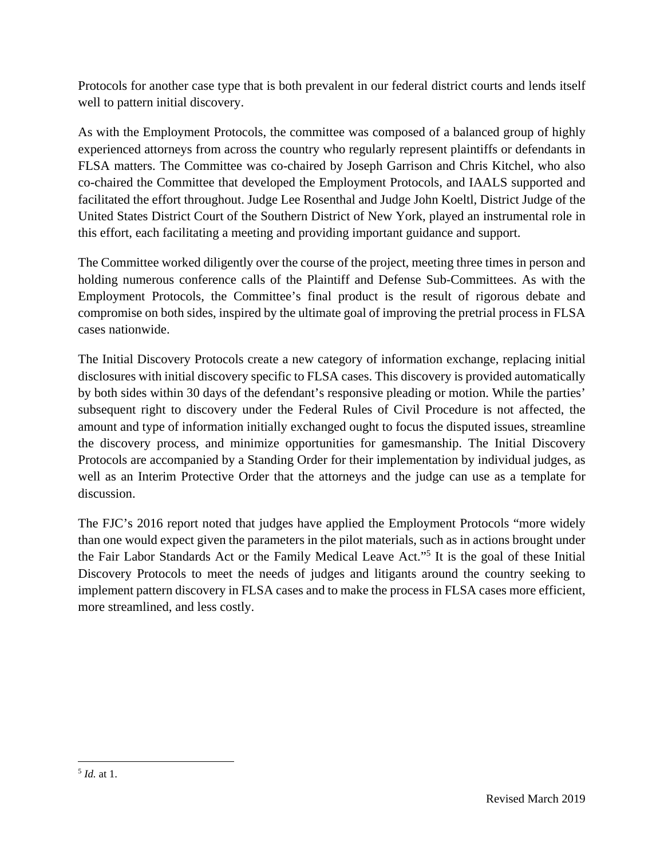Protocols for another case type that is both prevalent in our federal district courts and lends itself well to pattern initial discovery.

As with the Employment Protocols, the committee was composed of a balanced group of highly experienced attorneys from across the country who regularly represent plaintiffs or defendants in FLSA matters. The Committee was co-chaired by Joseph Garrison and Chris Kitchel, who also co-chaired the Committee that developed the Employment Protocols, and IAALS supported and facilitated the effort throughout. Judge Lee Rosenthal and Judge John Koeltl, District Judge of the United States District Court of the Southern District of New York, played an instrumental role in this effort, each facilitating a meeting and providing important guidance and support.

The Committee worked diligently over the course of the project, meeting three times in person and holding numerous conference calls of the Plaintiff and Defense Sub-Committees. As with the Employment Protocols, the Committee's final product is the result of rigorous debate and compromise on both sides, inspired by the ultimate goal of improving the pretrial process in FLSA cases nationwide.

The Initial Discovery Protocols create a new category of information exchange, replacing initial disclosures with initial discovery specific to FLSA cases. This discovery is provided automatically by both sides within 30 days of the defendant's responsive pleading or motion. While the parties' subsequent right to discovery under the Federal Rules of Civil Procedure is not affected, the amount and type of information initially exchanged ought to focus the disputed issues, streamline the discovery process, and minimize opportunities for gamesmanship. The Initial Discovery Protocols are accompanied by a Standing Order for their implementation by individual judges, as well as an Interim Protective Order that the attorneys and the judge can use as a template for discussion.

The FJC's 2016 report noted that judges have applied the Employment Protocols "more widely than one would expect given the parameters in the pilot materials, such as in actions brought under the Fair Labor Standards Act or the Family Medical Leave Act."5 It is the goal of these Initial Discovery Protocols to meet the needs of judges and litigants around the country seeking to implement pattern discovery in FLSA cases and to make the process in FLSA cases more efficient, more streamlined, and less costly.

 <sup>5</sup> *Id.* at 1.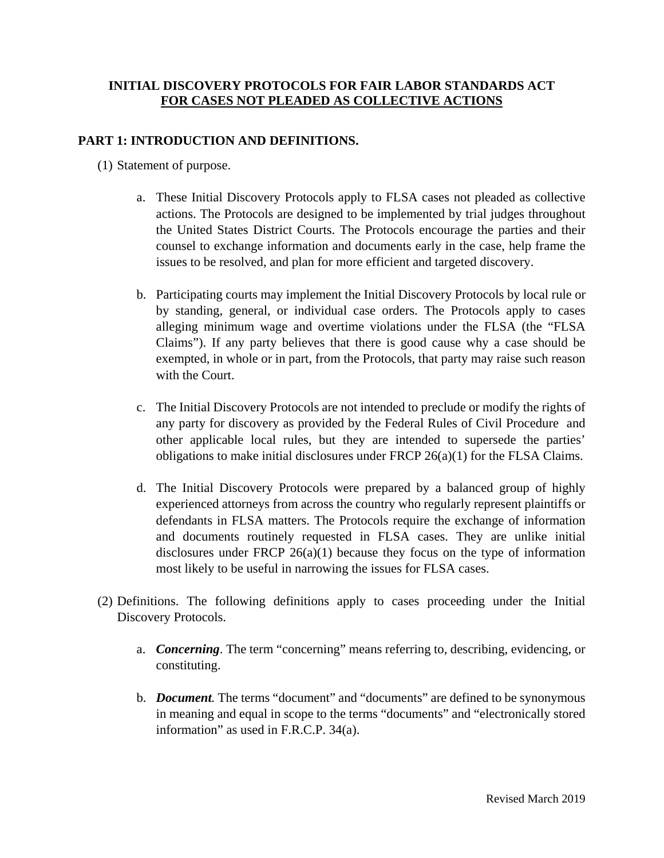### **INITIAL DISCOVERY PROTOCOLS FOR FAIR LABOR STANDARDS ACT FOR CASES NOT PLEADED AS COLLECTIVE ACTIONS**

### **PART 1: INTRODUCTION AND DEFINITIONS.**

- (1) Statement of purpose.
	- a. These Initial Discovery Protocols apply to FLSA cases not pleaded as collective actions. The Protocols are designed to be implemented by trial judges throughout the United States District Courts. The Protocols encourage the parties and their counsel to exchange information and documents early in the case, help frame the issues to be resolved, and plan for more efficient and targeted discovery.
	- b. Participating courts may implement the Initial Discovery Protocols by local rule or by standing, general, or individual case orders. The Protocols apply to cases alleging minimum wage and overtime violations under the FLSA (the "FLSA Claims"). If any party believes that there is good cause why a case should be exempted, in whole or in part, from the Protocols, that party may raise such reason with the Court.
	- c. The Initial Discovery Protocols are not intended to preclude or modify the rights of any party for discovery as provided by the Federal Rules of Civil Procedure and other applicable local rules, but they are intended to supersede the parties' obligations to make initial disclosures under FRCP 26(a)(1) for the FLSA Claims.
	- d. The Initial Discovery Protocols were prepared by a balanced group of highly experienced attorneys from across the country who regularly represent plaintiffs or defendants in FLSA matters. The Protocols require the exchange of information and documents routinely requested in FLSA cases. They are unlike initial disclosures under FRCP  $26(a)(1)$  because they focus on the type of information most likely to be useful in narrowing the issues for FLSA cases.
- (2) Definitions. The following definitions apply to cases proceeding under the Initial Discovery Protocols.
	- a. *Concerning*. The term "concerning" means referring to, describing, evidencing, or constituting.
	- b. *Document.* The terms "document" and "documents" are defined to be synonymous in meaning and equal in scope to the terms "documents" and "electronically stored information" as used in F.R.C.P. 34(a).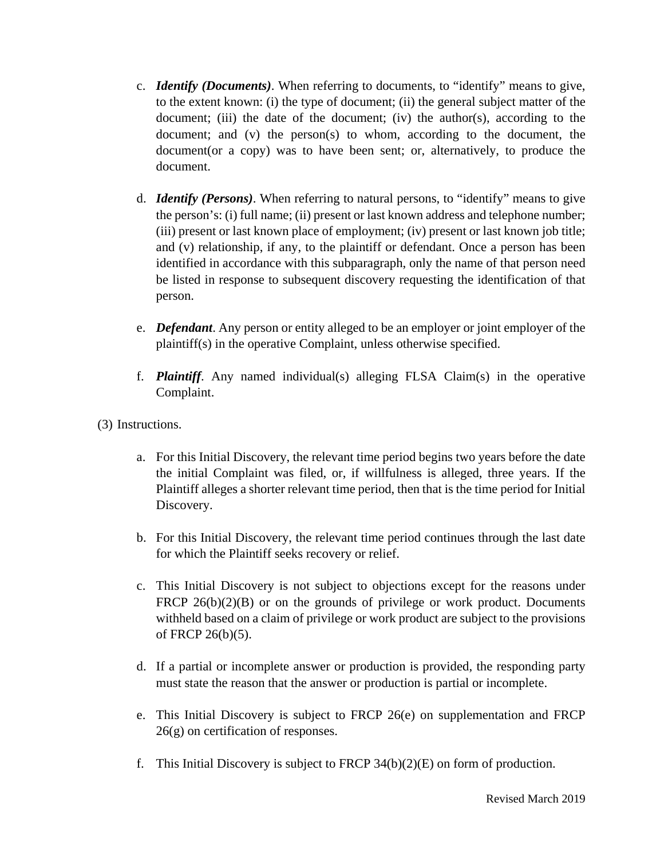- c. *Identify (Documents)*. When referring to documents, to "identify" means to give, to the extent known: (i) the type of document; (ii) the general subject matter of the document; (iii) the date of the document; (iv) the author(s), according to the document; and (v) the person(s) to whom, according to the document, the document(or a copy) was to have been sent; or, alternatively, to produce the document.
- d. *Identify (Persons)*. When referring to natural persons, to "identify" means to give the person's: (i) full name; (ii) present or last known address and telephone number; (iii) present or last known place of employment; (iv) present or last known job title; and (v) relationship, if any, to the plaintiff or defendant. Once a person has been identified in accordance with this subparagraph, only the name of that person need be listed in response to subsequent discovery requesting the identification of that person.
- e. *Defendant*. Any person or entity alleged to be an employer or joint employer of the plaintiff(s) in the operative Complaint, unless otherwise specified.
- f. *Plaintiff*. Any named individual(s) alleging FLSA Claim(s) in the operative Complaint.
- (3) Instructions.
	- a. For this Initial Discovery, the relevant time period begins two years before the date the initial Complaint was filed, or, if willfulness is alleged, three years. If the Plaintiff alleges a shorter relevant time period, then that is the time period for Initial Discovery.
	- b. For this Initial Discovery, the relevant time period continues through the last date for which the Plaintiff seeks recovery or relief.
	- c. This Initial Discovery is not subject to objections except for the reasons under FRCP  $26(b)(2)(B)$  or on the grounds of privilege or work product. Documents withheld based on a claim of privilege or work product are subject to the provisions of FRCP 26(b)(5).
	- d. If a partial or incomplete answer or production is provided, the responding party must state the reason that the answer or production is partial or incomplete.
	- e. This Initial Discovery is subject to FRCP 26(e) on supplementation and FRCP 26(g) on certification of responses.
	- f. This Initial Discovery is subject to FRCP  $34(b)(2)(E)$  on form of production.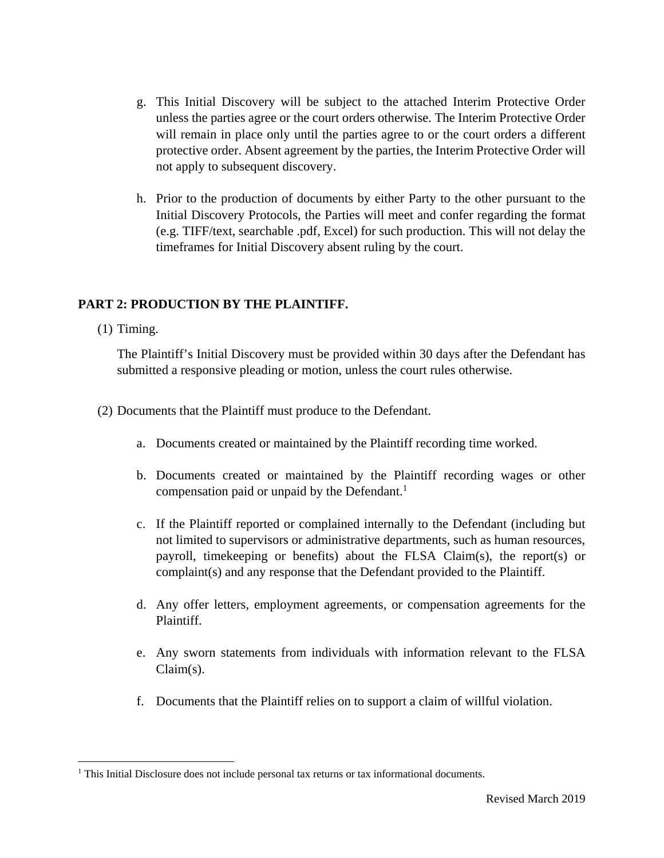- g. This Initial Discovery will be subject to the attached Interim Protective Order unless the parties agree or the court orders otherwise. The Interim Protective Order will remain in place only until the parties agree to or the court orders a different protective order. Absent agreement by the parties, the Interim Protective Order will not apply to subsequent discovery.
- h. Prior to the production of documents by either Party to the other pursuant to the Initial Discovery Protocols, the Parties will meet and confer regarding the format (e.g. TIFF/text, searchable .pdf, Excel) for such production. This will not delay the timeframes for Initial Discovery absent ruling by the court.

# **PART 2: PRODUCTION BY THE PLAINTIFF.**

(1) Timing.

The Plaintiff's Initial Discovery must be provided within 30 days after the Defendant has submitted a responsive pleading or motion, unless the court rules otherwise.

- (2) Documents that the Plaintiff must produce to the Defendant.
	- a. Documents created or maintained by the Plaintiff recording time worked.
	- b. Documents created or maintained by the Plaintiff recording wages or other compensation paid or unpaid by the Defendant.<sup>1</sup>
	- c. If the Plaintiff reported or complained internally to the Defendant (including but not limited to supervisors or administrative departments, such as human resources, payroll, timekeeping or benefits) about the FLSA Claim(s), the report(s) or complaint(s) and any response that the Defendant provided to the Plaintiff.
	- d. Any offer letters, employment agreements, or compensation agreements for the Plaintiff.
	- e. Any sworn statements from individuals with information relevant to the FLSA Claim(s).
	- f. Documents that the Plaintiff relies on to support a claim of willful violation.

<sup>&</sup>lt;sup>1</sup> This Initial Disclosure does not include personal tax returns or tax informational documents.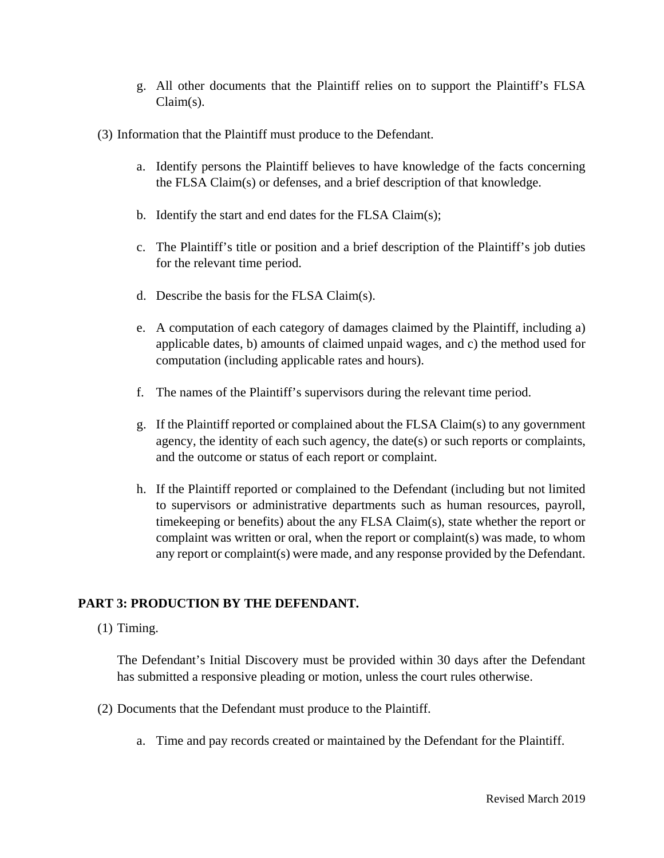- g. All other documents that the Plaintiff relies on to support the Plaintiff's FLSA Claim(s).
- (3) Information that the Plaintiff must produce to the Defendant.
	- a. Identify persons the Plaintiff believes to have knowledge of the facts concerning the FLSA Claim(s) or defenses, and a brief description of that knowledge.
	- b. Identify the start and end dates for the FLSA Claim(s);
	- c. The Plaintiff's title or position and a brief description of the Plaintiff's job duties for the relevant time period.
	- d. Describe the basis for the FLSA Claim(s).
	- e. A computation of each category of damages claimed by the Plaintiff, including a) applicable dates, b) amounts of claimed unpaid wages, and c) the method used for computation (including applicable rates and hours).
	- f. The names of the Plaintiff's supervisors during the relevant time period.
	- g. If the Plaintiff reported or complained about the FLSA Claim(s) to any government agency, the identity of each such agency, the date(s) or such reports or complaints, and the outcome or status of each report or complaint.
	- h. If the Plaintiff reported or complained to the Defendant (including but not limited to supervisors or administrative departments such as human resources, payroll, timekeeping or benefits) about the any FLSA Claim(s), state whether the report or complaint was written or oral, when the report or complaint(s) was made, to whom any report or complaint(s) were made, and any response provided by the Defendant.

# **PART 3: PRODUCTION BY THE DEFENDANT.**

(1) Timing.

The Defendant's Initial Discovery must be provided within 30 days after the Defendant has submitted a responsive pleading or motion, unless the court rules otherwise.

- (2) Documents that the Defendant must produce to the Plaintiff.
	- a. Time and pay records created or maintained by the Defendant for the Plaintiff.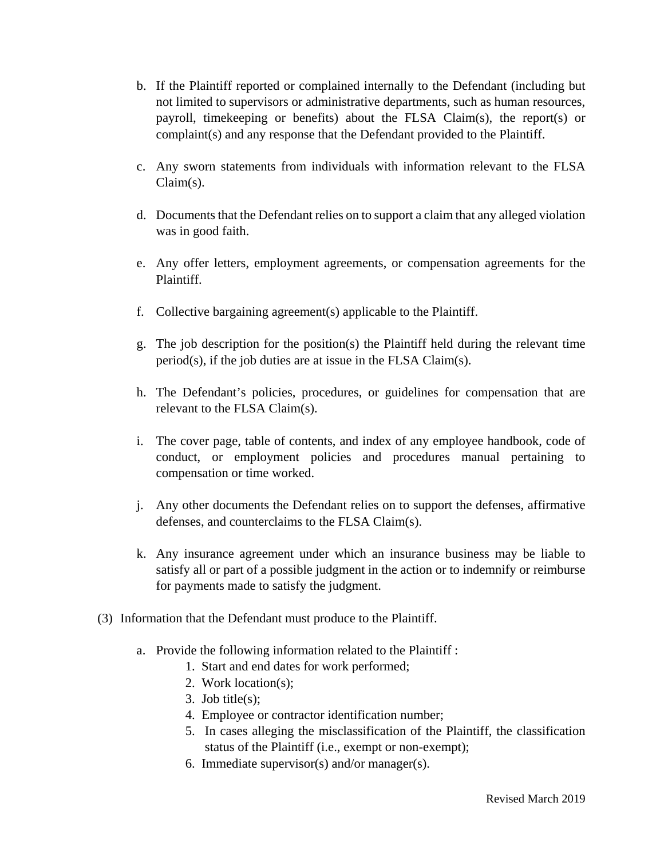- b. If the Plaintiff reported or complained internally to the Defendant (including but not limited to supervisors or administrative departments, such as human resources, payroll, timekeeping or benefits) about the FLSA Claim(s), the report(s) or complaint(s) and any response that the Defendant provided to the Plaintiff.
- c. Any sworn statements from individuals with information relevant to the FLSA Claim(s).
- d. Documents that the Defendant relies on to support a claim that any alleged violation was in good faith.
- e. Any offer letters, employment agreements, or compensation agreements for the Plaintiff.
- f. Collective bargaining agreement(s) applicable to the Plaintiff.
- g. The job description for the position(s) the Plaintiff held during the relevant time period(s), if the job duties are at issue in the FLSA Claim(s).
- h. The Defendant's policies, procedures, or guidelines for compensation that are relevant to the FLSA Claim(s).
- i. The cover page, table of contents, and index of any employee handbook, code of conduct, or employment policies and procedures manual pertaining to compensation or time worked.
- j. Any other documents the Defendant relies on to support the defenses, affirmative defenses, and counterclaims to the FLSA Claim(s).
- k. Any insurance agreement under which an insurance business may be liable to satisfy all or part of a possible judgment in the action or to indemnify or reimburse for payments made to satisfy the judgment.
- (3) Information that the Defendant must produce to the Plaintiff.
	- a. Provide the following information related to the Plaintiff :
		- 1. Start and end dates for work performed;
		- 2. Work location(s);
		- 3. Job title(s);
		- 4. Employee or contractor identification number;
		- 5. In cases alleging the misclassification of the Plaintiff, the classification status of the Plaintiff (i.e., exempt or non-exempt);
		- 6. Immediate supervisor(s) and/or manager(s).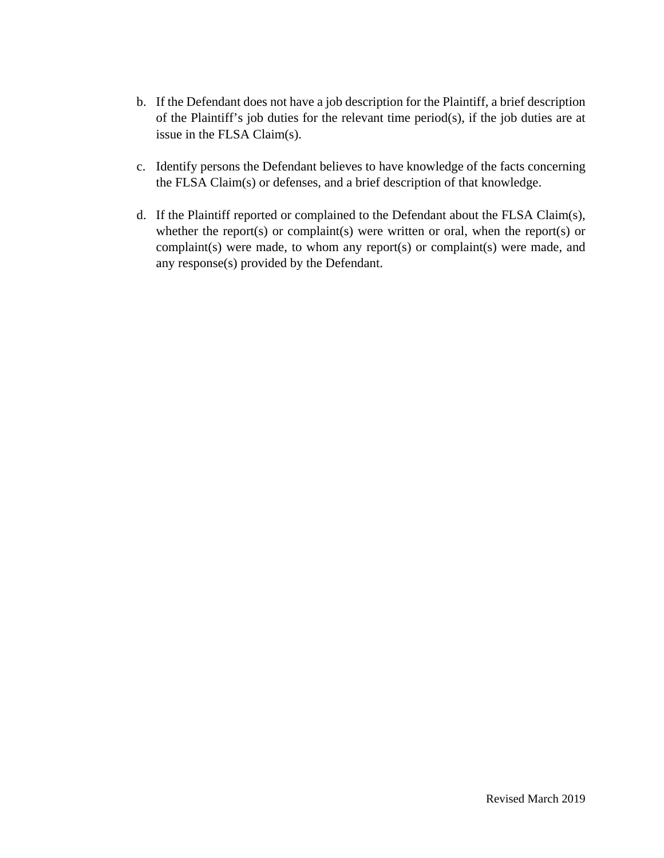- b. If the Defendant does not have a job description for the Plaintiff, a brief description of the Plaintiff's job duties for the relevant time period(s), if the job duties are at issue in the FLSA Claim(s).
- c. Identify persons the Defendant believes to have knowledge of the facts concerning the FLSA Claim(s) or defenses, and a brief description of that knowledge.
- d. If the Plaintiff reported or complained to the Defendant about the FLSA Claim(s), whether the report(s) or complaint(s) were written or oral, when the report(s) or complaint(s) were made, to whom any report(s) or complaint(s) were made, and any response(s) provided by the Defendant.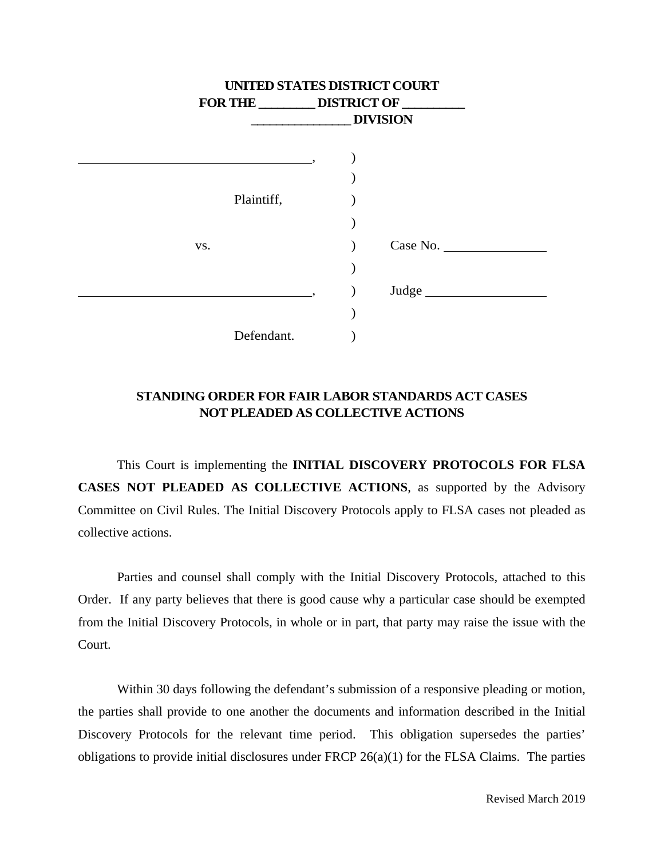| UNITED STATES DISTRICT COURT |                                       |  |                 |
|------------------------------|---------------------------------------|--|-----------------|
|                              | FOR THE _________ DISTRICT OF _______ |  |                 |
|                              |                                       |  | <b>DIVISION</b> |
|                              |                                       |  |                 |
|                              |                                       |  |                 |
|                              |                                       |  |                 |
| Plaintiff,                   |                                       |  |                 |
|                              |                                       |  |                 |
| VS.                          |                                       |  | Case No.        |
|                              |                                       |  |                 |
|                              |                                       |  | Judge           |
|                              |                                       |  |                 |
| Defendant.                   |                                       |  |                 |

# **STANDING ORDER FOR FAIR LABOR STANDARDS ACT CASES NOT PLEADED AS COLLECTIVE ACTIONS**

This Court is implementing the **INITIAL DISCOVERY PROTOCOLS FOR FLSA CASES NOT PLEADED AS COLLECTIVE ACTIONS**, as supported by the Advisory Committee on Civil Rules. The Initial Discovery Protocols apply to FLSA cases not pleaded as collective actions.

Parties and counsel shall comply with the Initial Discovery Protocols, attached to this Order. If any party believes that there is good cause why a particular case should be exempted from the Initial Discovery Protocols, in whole or in part, that party may raise the issue with the Court.

Within 30 days following the defendant's submission of a responsive pleading or motion, the parties shall provide to one another the documents and information described in the Initial Discovery Protocols for the relevant time period. This obligation supersedes the parties' obligations to provide initial disclosures under FRCP 26(a)(1) for the FLSA Claims. The parties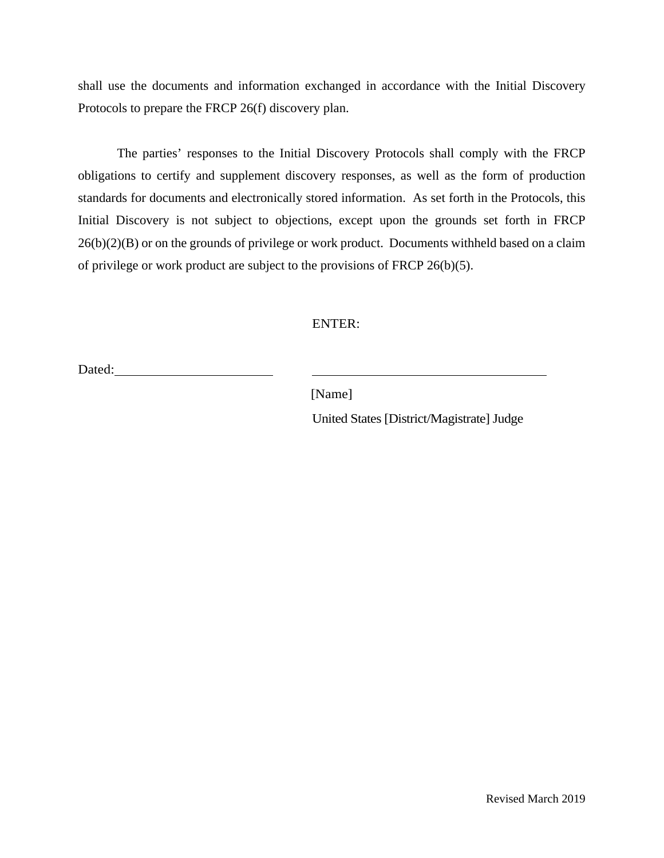shall use the documents and information exchanged in accordance with the Initial Discovery Protocols to prepare the FRCP 26(f) discovery plan.

The parties' responses to the Initial Discovery Protocols shall comply with the FRCP obligations to certify and supplement discovery responses, as well as the form of production standards for documents and electronically stored information. As set forth in the Protocols, this Initial Discovery is not subject to objections, except upon the grounds set forth in FRCP 26(b)(2)(B) or on the grounds of privilege or work product. Documents withheld based on a claim of privilege or work product are subject to the provisions of FRCP 26(b)(5).

#### ENTER:

Dated: <u>Dated:</u>

[Name]

United States [District/Magistrate] Judge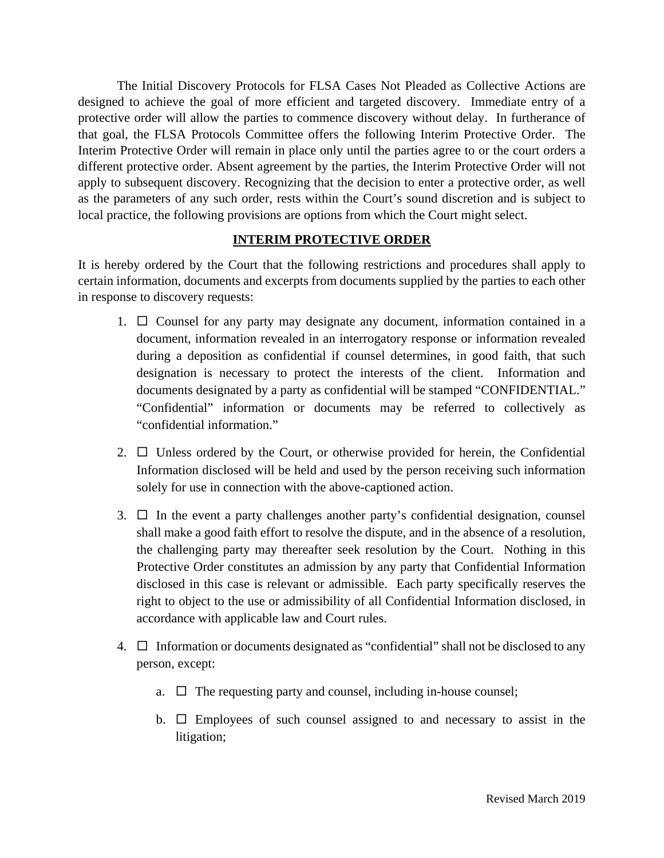The Initial Discovery Protocols for FLSA Cases Not Pleaded as Collective Actions are designed to achieve the goal of more efficient and targeted discovery. Immediate entry of a protective order will allow the parties to commence discovery without delay. In furtherance of that goal, the FLSA Protocols Committee offers the following Interim Protective Order. The Interim Protective Order will remain in place only until the parties agree to or the court orders a different protective order. Absent agreement by the parties, the Interim Protective Order will not apply to subsequent discovery. Recognizing that the decision to enter a protective order, as well as the parameters of any such order, rests within the Court's sound discretion and is subject to local practice, the following provisions are options from which the Court might select.

## **INTERIM PROTECTIVE ORDER**

It is hereby ordered by the Court that the following restrictions and procedures shall apply to certain information, documents and excerpts from documents supplied by the parties to each other in response to discovery requests:

- 1.  $\Box$  Counsel for any party may designate any document, information contained in a document, information revealed in an interrogatory response or information revealed during a deposition as confidential if counsel determines, in good faith, that such designation is necessary to protect the interests of the client. Information and documents designated by a party as confidential will be stamped "CONFIDENTIAL." "Confidential" information or documents may be referred to collectively as "confidential information."
- 2.  $\Box$  Unless ordered by the Court, or otherwise provided for herein, the Confidential Information disclosed will be held and used by the person receiving such information solely for use in connection with the above-captioned action.
- 3.  $\Box$  In the event a party challenges another party's confidential designation, counsel shall make a good faith effort to resolve the dispute, and in the absence of a resolution, the challenging party may thereafter seek resolution by the Court. Nothing in this Protective Order constitutes an admission by any party that Confidential Information disclosed in this case is relevant or admissible. Each party specifically reserves the right to object to the use or admissibility of all Confidential Information disclosed, in accordance with applicable law and Court rules.
- 4.  $\Box$  Information or documents designated as "confidential" shall not be disclosed to any person, except:
	- a.  $\Box$  The requesting party and counsel, including in-house counsel;
	- b.  $\Box$  Employees of such counsel assigned to and necessary to assist in the litigation;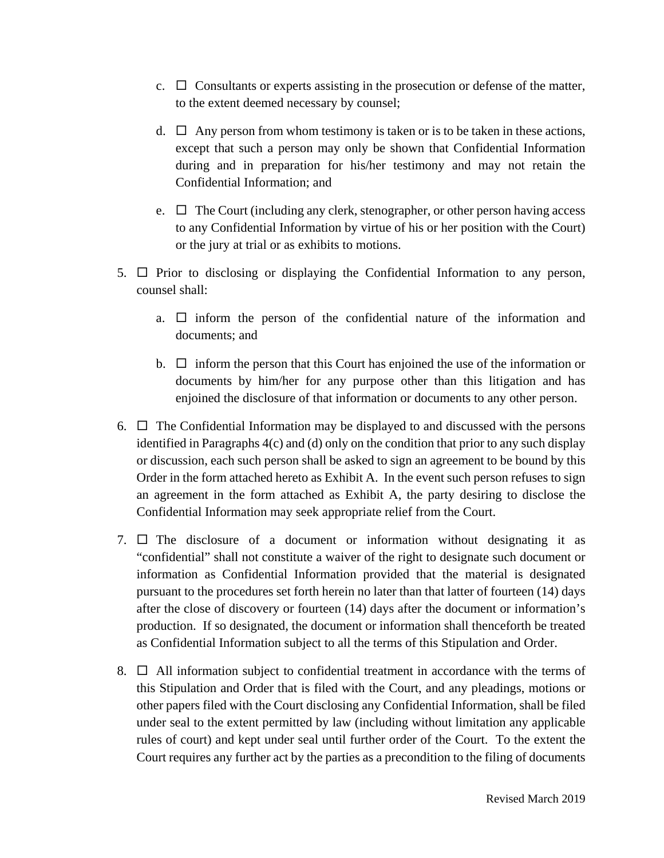- c.  $\Box$  Consultants or experts assisting in the prosecution or defense of the matter, to the extent deemed necessary by counsel;
- d.  $\Box$  Any person from whom testimony is taken or is to be taken in these actions, except that such a person may only be shown that Confidential Information during and in preparation for his/her testimony and may not retain the Confidential Information; and
- e.  $\Box$  The Court (including any clerk, stenographer, or other person having access to any Confidential Information by virtue of his or her position with the Court) or the jury at trial or as exhibits to motions.
- 5.  $\Box$  Prior to disclosing or displaying the Confidential Information to any person, counsel shall:
	- a.  $\Box$  inform the person of the confidential nature of the information and documents; and
	- b.  $\Box$  inform the person that this Court has enjoined the use of the information or documents by him/her for any purpose other than this litigation and has enjoined the disclosure of that information or documents to any other person.
- 6.  $\Box$  The Confidential Information may be displayed to and discussed with the persons identified in Paragraphs 4(c) and (d) only on the condition that prior to any such display or discussion, each such person shall be asked to sign an agreement to be bound by this Order in the form attached hereto as Exhibit A. In the event such person refuses to sign an agreement in the form attached as Exhibit A, the party desiring to disclose the Confidential Information may seek appropriate relief from the Court.
- 7.  $\Box$  The disclosure of a document or information without designating it as "confidential" shall not constitute a waiver of the right to designate such document or information as Confidential Information provided that the material is designated pursuant to the procedures set forth herein no later than that latter of fourteen (14) days after the close of discovery or fourteen (14) days after the document or information's production. If so designated, the document or information shall thenceforth be treated as Confidential Information subject to all the terms of this Stipulation and Order.
- 8.  $\Box$  All information subject to confidential treatment in accordance with the terms of this Stipulation and Order that is filed with the Court, and any pleadings, motions or other papers filed with the Court disclosing any Confidential Information, shall be filed under seal to the extent permitted by law (including without limitation any applicable rules of court) and kept under seal until further order of the Court. To the extent the Court requires any further act by the parties as a precondition to the filing of documents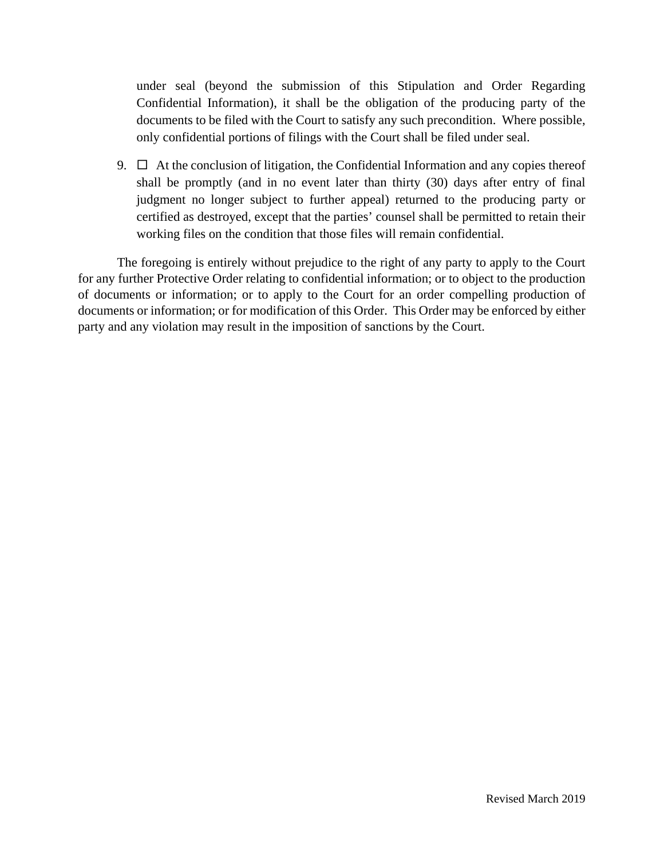under seal (beyond the submission of this Stipulation and Order Regarding Confidential Information), it shall be the obligation of the producing party of the documents to be filed with the Court to satisfy any such precondition. Where possible, only confidential portions of filings with the Court shall be filed under seal.

9.  $\Box$  At the conclusion of litigation, the Confidential Information and any copies thereof shall be promptly (and in no event later than thirty (30) days after entry of final judgment no longer subject to further appeal) returned to the producing party or certified as destroyed, except that the parties' counsel shall be permitted to retain their working files on the condition that those files will remain confidential.

The foregoing is entirely without prejudice to the right of any party to apply to the Court for any further Protective Order relating to confidential information; or to object to the production of documents or information; or to apply to the Court for an order compelling production of documents or information; or for modification of this Order. This Order may be enforced by either party and any violation may result in the imposition of sanctions by the Court.